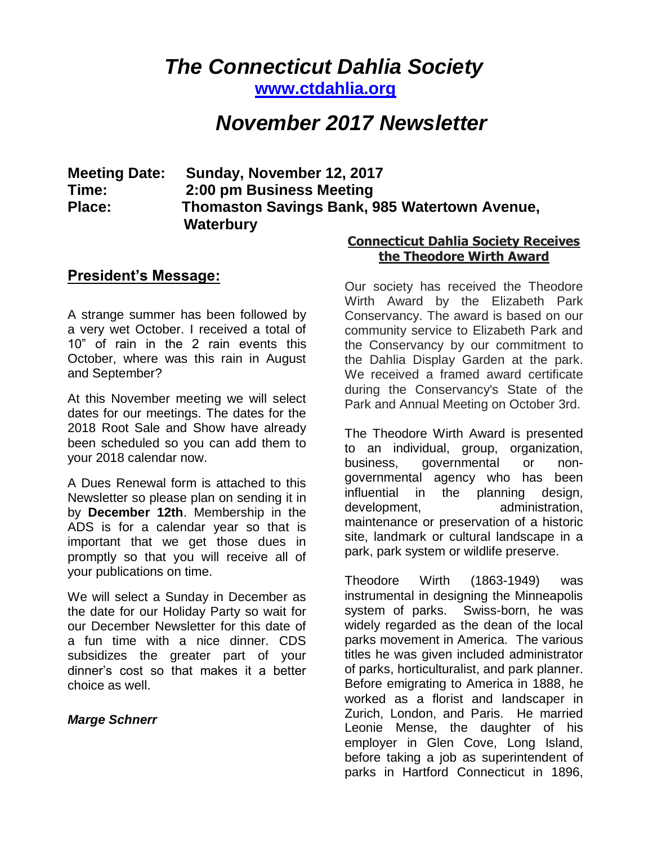# *The Connecticut Dahlia Society*

**[www.ctdahlia.org](http://www.ctdahlia.org/)**

# *November 2017 Newsletter*

# **Meeting Date: Sunday, November 12, 2017 Time: 2:00 pm Business Meeting Place: Thomaston Savings Bank, 985 Watertown Avenue, Waterbury**

## **President's Message:**

A strange summer has been followed by a very wet October. I received a total of 10" of rain in the 2 rain events this October, where was this rain in August and September?

At this November meeting we will select dates for our meetings. The dates for the 2018 Root Sale and Show have already been scheduled so you can add them to your 2018 calendar now.

A Dues Renewal form is attached to this Newsletter so please plan on sending it in by **December 12th**. Membership in the ADS is for a calendar year so that is important that we get those dues in promptly so that you will receive all of your publications on time.

We will select a Sunday in December as the date for our Holiday Party so wait for our December Newsletter for this date of a fun time with a nice dinner. CDS subsidizes the greater part of your dinner's cost so that makes it a better choice as well.

#### *Marge Schnerr*

#### **Connecticut Dahlia Society Receives the Theodore Wirth Award**

Our society has received the Theodore Wirth Award by the Elizabeth Park Conservancy. The award is based on our community service to Elizabeth Park and the Conservancy by our commitment to the Dahlia Display Garden at the park. We received a framed award certificate during the Conservancy's State of the Park and Annual Meeting on October 3rd.

The Theodore Wirth Award is presented to an individual, group, organization, business, governmental or nongovernmental agency who has been influential in the planning design, development, administration, maintenance or preservation of a historic site, landmark or cultural landscape in a park, park system or wildlife preserve.

Theodore Wirth (1863-1949) was instrumental in designing the Minneapolis system of parks. Swiss-born, he was widely regarded as the dean of the local parks movement in America. The various titles he was given included administrator of parks, horticulturalist, and park planner. Before emigrating to America in 1888, he worked as a florist and landscaper in Zurich, London, and Paris. He married Leonie Mense, the daughter of his employer in Glen Cove, Long Island, before taking a job as superintendent of parks in Hartford Connecticut in 1896,